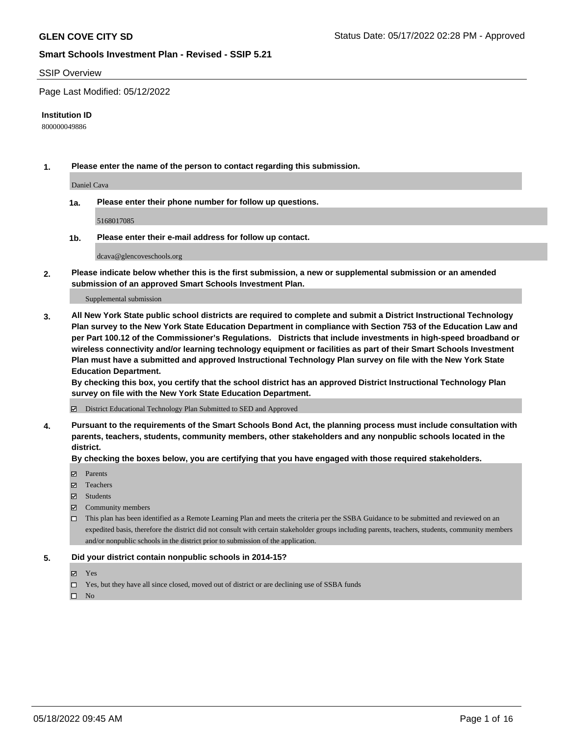#### SSIP Overview

Page Last Modified: 05/12/2022

#### **Institution ID**

800000049886

**1. Please enter the name of the person to contact regarding this submission.**

Daniel Cava

**1a. Please enter their phone number for follow up questions.**

5168017085

**1b. Please enter their e-mail address for follow up contact.**

dcava@glencoveschools.org

**2. Please indicate below whether this is the first submission, a new or supplemental submission or an amended submission of an approved Smart Schools Investment Plan.**

Supplemental submission

**3. All New York State public school districts are required to complete and submit a District Instructional Technology Plan survey to the New York State Education Department in compliance with Section 753 of the Education Law and per Part 100.12 of the Commissioner's Regulations. Districts that include investments in high-speed broadband or wireless connectivity and/or learning technology equipment or facilities as part of their Smart Schools Investment Plan must have a submitted and approved Instructional Technology Plan survey on file with the New York State Education Department.** 

**By checking this box, you certify that the school district has an approved District Instructional Technology Plan survey on file with the New York State Education Department.**

District Educational Technology Plan Submitted to SED and Approved

**4. Pursuant to the requirements of the Smart Schools Bond Act, the planning process must include consultation with parents, teachers, students, community members, other stakeholders and any nonpublic schools located in the district.** 

**By checking the boxes below, you are certifying that you have engaged with those required stakeholders.**

- $\blacksquare$  Parents
- Teachers
- Students
- $\Xi$  Community members
- This plan has been identified as a Remote Learning Plan and meets the criteria per the SSBA Guidance to be submitted and reviewed on an expedited basis, therefore the district did not consult with certain stakeholder groups including parents, teachers, students, community members and/or nonpublic schools in the district prior to submission of the application.

#### **5. Did your district contain nonpublic schools in 2014-15?**

- Yes
- $\Box$  Yes, but they have all since closed, moved out of district or are declining use of SSBA funds

 $\square$  No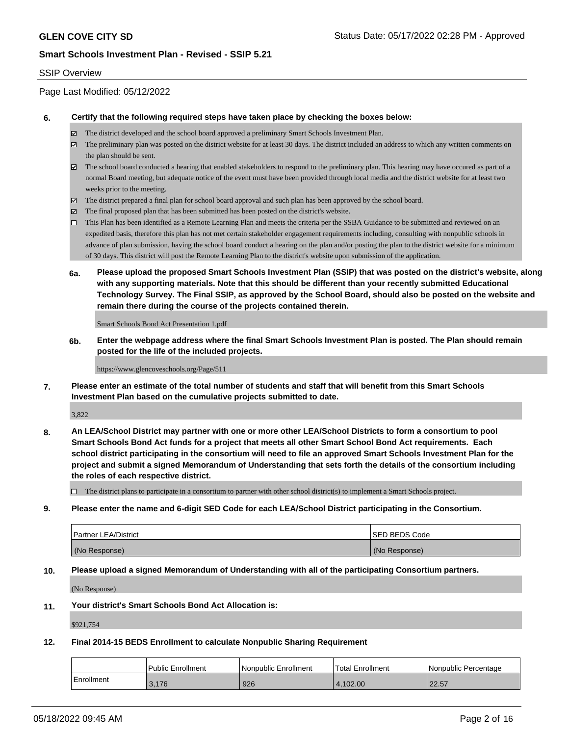#### SSIP Overview

Page Last Modified: 05/12/2022

#### **6. Certify that the following required steps have taken place by checking the boxes below:**

- The district developed and the school board approved a preliminary Smart Schools Investment Plan.
- $\boxtimes$  The preliminary plan was posted on the district website for at least 30 days. The district included an address to which any written comments on the plan should be sent.
- $\boxtimes$  The school board conducted a hearing that enabled stakeholders to respond to the preliminary plan. This hearing may have occured as part of a normal Board meeting, but adequate notice of the event must have been provided through local media and the district website for at least two weeks prior to the meeting.
- The district prepared a final plan for school board approval and such plan has been approved by the school board.
- $\boxtimes$  The final proposed plan that has been submitted has been posted on the district's website.
- This Plan has been identified as a Remote Learning Plan and meets the criteria per the SSBA Guidance to be submitted and reviewed on an expedited basis, therefore this plan has not met certain stakeholder engagement requirements including, consulting with nonpublic schools in advance of plan submission, having the school board conduct a hearing on the plan and/or posting the plan to the district website for a minimum of 30 days. This district will post the Remote Learning Plan to the district's website upon submission of the application.
- **6a. Please upload the proposed Smart Schools Investment Plan (SSIP) that was posted on the district's website, along with any supporting materials. Note that this should be different than your recently submitted Educational Technology Survey. The Final SSIP, as approved by the School Board, should also be posted on the website and remain there during the course of the projects contained therein.**

Smart Schools Bond Act Presentation 1.pdf

**6b. Enter the webpage address where the final Smart Schools Investment Plan is posted. The Plan should remain posted for the life of the included projects.**

https://www.glencoveschools.org/Page/511

**7. Please enter an estimate of the total number of students and staff that will benefit from this Smart Schools Investment Plan based on the cumulative projects submitted to date.**

3,822

**8. An LEA/School District may partner with one or more other LEA/School Districts to form a consortium to pool Smart Schools Bond Act funds for a project that meets all other Smart School Bond Act requirements. Each school district participating in the consortium will need to file an approved Smart Schools Investment Plan for the project and submit a signed Memorandum of Understanding that sets forth the details of the consortium including the roles of each respective district.**

 $\Box$  The district plans to participate in a consortium to partner with other school district(s) to implement a Smart Schools project.

**9. Please enter the name and 6-digit SED Code for each LEA/School District participating in the Consortium.**

| <b>Partner LEA/District</b> | <b>ISED BEDS Code</b> |
|-----------------------------|-----------------------|
| (No Response)               | (No Response)         |

#### **10. Please upload a signed Memorandum of Understanding with all of the participating Consortium partners.**

(No Response)

#### **11. Your district's Smart Schools Bond Act Allocation is:**

\$921,754

#### **12. Final 2014-15 BEDS Enrollment to calculate Nonpublic Sharing Requirement**

|            | <b>Public Enrollment</b> | l Nonpublic Enrollment | <b>Total Enrollment</b> | l Nonpublic Percentage |
|------------|--------------------------|------------------------|-------------------------|------------------------|
| Enrollment | 3,176                    | 926                    | 4.102.00                | 22.57                  |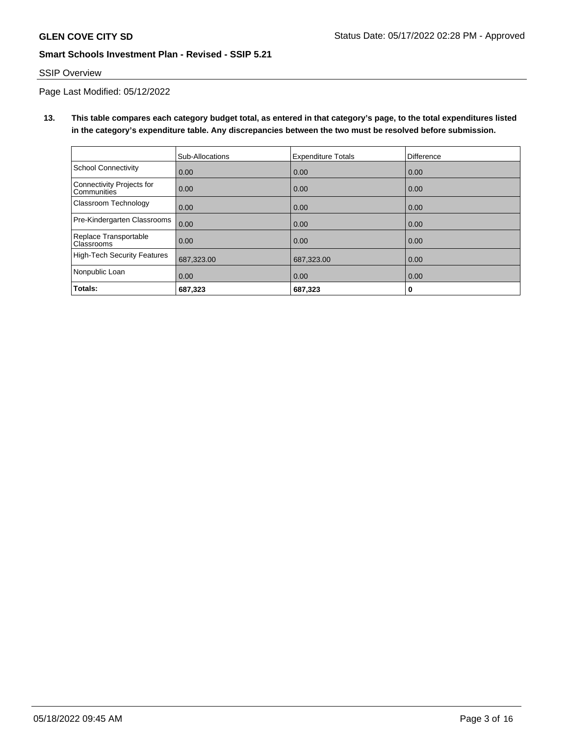### SSIP Overview

Page Last Modified: 05/12/2022

**13. This table compares each category budget total, as entered in that category's page, to the total expenditures listed in the category's expenditure table. Any discrepancies between the two must be resolved before submission.**

|                                            | Sub-Allocations | <b>Expenditure Totals</b> | <b>Difference</b> |
|--------------------------------------------|-----------------|---------------------------|-------------------|
| <b>School Connectivity</b>                 | 0.00            | 0.00                      | 0.00              |
| Connectivity Projects for<br>Communities   | 0.00            | 0.00                      | 0.00              |
| Classroom Technology                       | 0.00            | 0.00                      | 0.00              |
| Pre-Kindergarten Classrooms                | 0.00            | 0.00                      | 0.00              |
| Replace Transportable<br><b>Classrooms</b> | 0.00            | 0.00                      | 0.00              |
| <b>High-Tech Security Features</b>         | 687,323.00      | 687,323.00                | 0.00              |
| Nonpublic Loan                             | 0.00            | 0.00                      | 0.00              |
| Totals:                                    | 687,323         | 687,323                   | 0                 |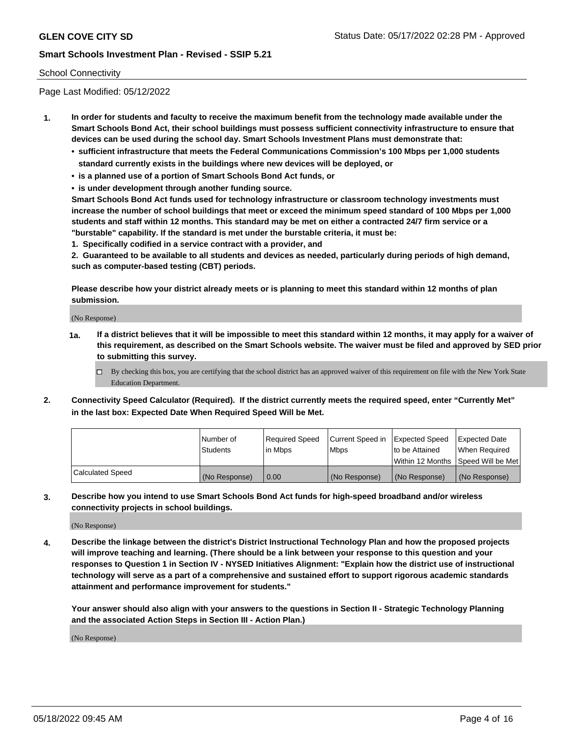#### School Connectivity

Page Last Modified: 05/12/2022

- **1. In order for students and faculty to receive the maximum benefit from the technology made available under the Smart Schools Bond Act, their school buildings must possess sufficient connectivity infrastructure to ensure that devices can be used during the school day. Smart Schools Investment Plans must demonstrate that:**
	- **• sufficient infrastructure that meets the Federal Communications Commission's 100 Mbps per 1,000 students standard currently exists in the buildings where new devices will be deployed, or**
	- **• is a planned use of a portion of Smart Schools Bond Act funds, or**
	- **• is under development through another funding source.**

**Smart Schools Bond Act funds used for technology infrastructure or classroom technology investments must increase the number of school buildings that meet or exceed the minimum speed standard of 100 Mbps per 1,000 students and staff within 12 months. This standard may be met on either a contracted 24/7 firm service or a "burstable" capability. If the standard is met under the burstable criteria, it must be:**

**1. Specifically codified in a service contract with a provider, and**

**2. Guaranteed to be available to all students and devices as needed, particularly during periods of high demand, such as computer-based testing (CBT) periods.**

**Please describe how your district already meets or is planning to meet this standard within 12 months of plan submission.**

(No Response)

- **1a. If a district believes that it will be impossible to meet this standard within 12 months, it may apply for a waiver of this requirement, as described on the Smart Schools website. The waiver must be filed and approved by SED prior to submitting this survey.**
	- By checking this box, you are certifying that the school district has an approved waiver of this requirement on file with the New York State Education Department.
- **2. Connectivity Speed Calculator (Required). If the district currently meets the required speed, enter "Currently Met" in the last box: Expected Date When Required Speed Will be Met.**

|                         | l Number of<br><b>Students</b> | Required Speed<br>l in Mbps | Current Speed in<br><b>Mbps</b> | <b>Expected Speed</b><br>to be Attained | Expected Date<br>When Reauired |
|-------------------------|--------------------------------|-----------------------------|---------------------------------|-----------------------------------------|--------------------------------|
|                         |                                |                             |                                 | Within 12 Months 1Speed Will be Met     |                                |
| <b>Calculated Speed</b> | (No Response)                  | 0.00                        | (No Response)                   | (No Response)                           | (No Response)                  |

**3. Describe how you intend to use Smart Schools Bond Act funds for high-speed broadband and/or wireless connectivity projects in school buildings.**

(No Response)

**4. Describe the linkage between the district's District Instructional Technology Plan and how the proposed projects will improve teaching and learning. (There should be a link between your response to this question and your responses to Question 1 in Section IV - NYSED Initiatives Alignment: "Explain how the district use of instructional technology will serve as a part of a comprehensive and sustained effort to support rigorous academic standards attainment and performance improvement for students."** 

**Your answer should also align with your answers to the questions in Section II - Strategic Technology Planning and the associated Action Steps in Section III - Action Plan.)**

(No Response)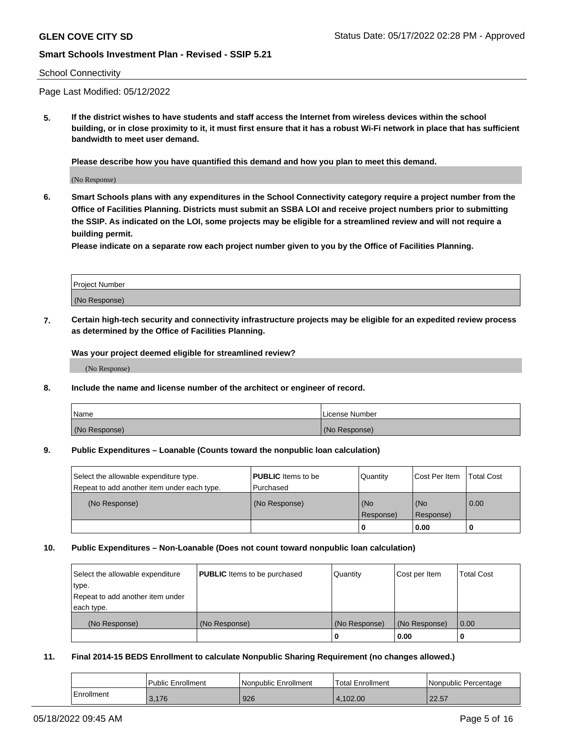#### School Connectivity

Page Last Modified: 05/12/2022

**5. If the district wishes to have students and staff access the Internet from wireless devices within the school building, or in close proximity to it, it must first ensure that it has a robust Wi-Fi network in place that has sufficient bandwidth to meet user demand.**

**Please describe how you have quantified this demand and how you plan to meet this demand.**

(No Response)

**6. Smart Schools plans with any expenditures in the School Connectivity category require a project number from the Office of Facilities Planning. Districts must submit an SSBA LOI and receive project numbers prior to submitting the SSIP. As indicated on the LOI, some projects may be eligible for a streamlined review and will not require a building permit.**

**Please indicate on a separate row each project number given to you by the Office of Facilities Planning.**

| <b>Project Number</b> |  |
|-----------------------|--|
| (No Response)         |  |

**7. Certain high-tech security and connectivity infrastructure projects may be eligible for an expedited review process as determined by the Office of Facilities Planning.**

**Was your project deemed eligible for streamlined review?**

(No Response)

#### **8. Include the name and license number of the architect or engineer of record.**

| Name          | I License Number |
|---------------|------------------|
| (No Response) | (No Response)    |

#### **9. Public Expenditures – Loanable (Counts toward the nonpublic loan calculation)**

| Select the allowable expenditure type.<br>Repeat to add another item under each type. | <b>PUBLIC</b> Items to be<br>Purchased | Quantity         | Cost Per Item    | <b>Total Cost</b> |
|---------------------------------------------------------------------------------------|----------------------------------------|------------------|------------------|-------------------|
| (No Response)                                                                         | (No Response)                          | (No<br>Response) | (No<br>Response) | 0.00              |
|                                                                                       |                                        | 0                | 0.00             |                   |

### **10. Public Expenditures – Non-Loanable (Does not count toward nonpublic loan calculation)**

| Select the allowable expenditure | <b>PUBLIC</b> Items to be purchased | Quantity      | Cost per Item | <b>Total Cost</b> |
|----------------------------------|-------------------------------------|---------------|---------------|-------------------|
| type.                            |                                     |               |               |                   |
| Repeat to add another item under |                                     |               |               |                   |
| each type.                       |                                     |               |               |                   |
| (No Response)                    | (No Response)                       | (No Response) | (No Response) | 0.00              |
|                                  |                                     | U             | 0.00          |                   |

### **11. Final 2014-15 BEDS Enrollment to calculate Nonpublic Sharing Requirement (no changes allowed.)**

|            | Public Enrollment | Nonpublic Enrollment | 'Total Enrollment | l Nonpublic Percentage |
|------------|-------------------|----------------------|-------------------|------------------------|
| Enrollment | 3.176             | 926                  | 4.102.00          | 2257<br>22.5T          |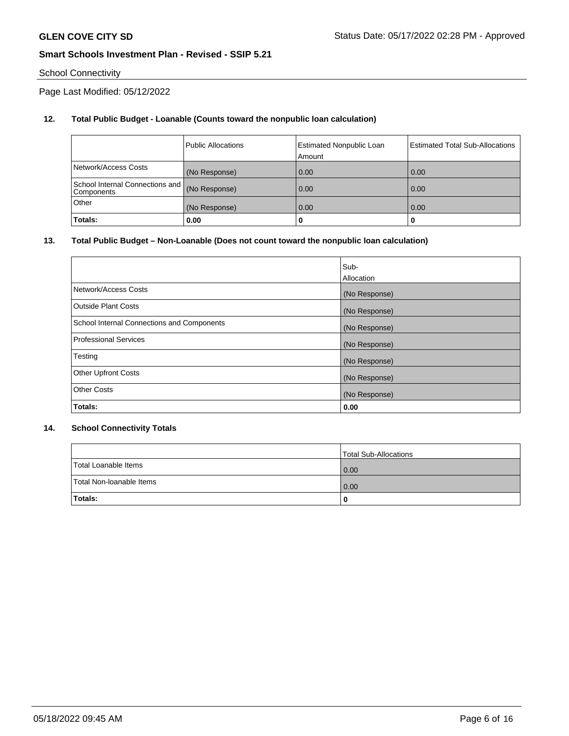# School Connectivity

Page Last Modified: 05/12/2022

# **12. Total Public Budget - Loanable (Counts toward the nonpublic loan calculation)**

|                                               | <b>Public Allocations</b> | <b>Estimated Nonpublic Loan</b><br>Amount | <b>Estimated Total Sub-Allocations</b> |
|-----------------------------------------------|---------------------------|-------------------------------------------|----------------------------------------|
| Network/Access Costs                          | (No Response)             | 0.00                                      | 0.00                                   |
| School Internal Connections and<br>Components | (No Response)             | 0.00                                      | 0.00                                   |
| Other                                         | (No Response)             | 0.00                                      | 0.00                                   |
| Totals:                                       | 0.00                      |                                           | 0                                      |

### **13. Total Public Budget – Non-Loanable (Does not count toward the nonpublic loan calculation)**

|                                            | Sub-          |
|--------------------------------------------|---------------|
|                                            | Allocation    |
| Network/Access Costs                       | (No Response) |
| <b>Outside Plant Costs</b>                 | (No Response) |
| School Internal Connections and Components | (No Response) |
| <b>Professional Services</b>               | (No Response) |
| Testing                                    | (No Response) |
| <b>Other Upfront Costs</b>                 | (No Response) |
| <b>Other Costs</b>                         | (No Response) |
| Totals:                                    | 0.00          |

### **14. School Connectivity Totals**

|                          | Total Sub-Allocations |
|--------------------------|-----------------------|
| Total Loanable Items     | 0.00                  |
| Total Non-Ioanable Items | 0.00                  |
| Totals:                  | 0                     |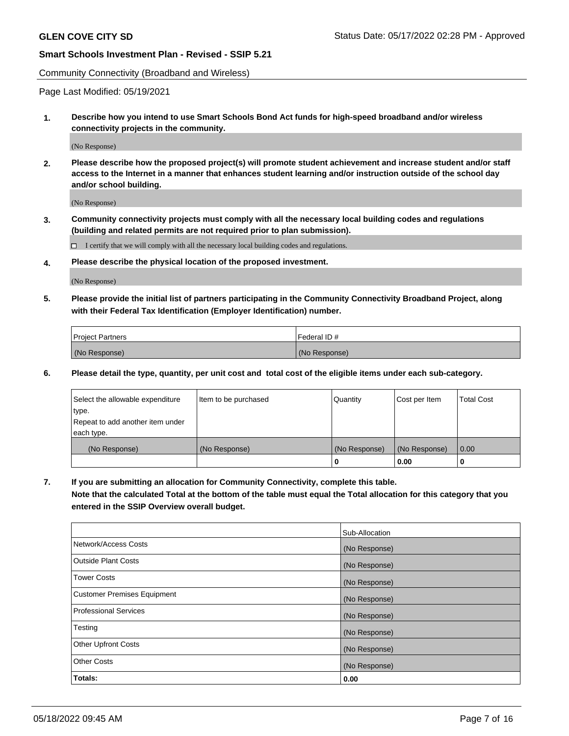Community Connectivity (Broadband and Wireless)

Page Last Modified: 05/19/2021

**1. Describe how you intend to use Smart Schools Bond Act funds for high-speed broadband and/or wireless connectivity projects in the community.**

(No Response)

**2. Please describe how the proposed project(s) will promote student achievement and increase student and/or staff access to the Internet in a manner that enhances student learning and/or instruction outside of the school day and/or school building.**

(No Response)

**3. Community connectivity projects must comply with all the necessary local building codes and regulations (building and related permits are not required prior to plan submission).**

 $\Box$  I certify that we will comply with all the necessary local building codes and regulations.

**4. Please describe the physical location of the proposed investment.**

(No Response)

**5. Please provide the initial list of partners participating in the Community Connectivity Broadband Project, along with their Federal Tax Identification (Employer Identification) number.**

| <b>Project Partners</b> | l Federal ID # |
|-------------------------|----------------|
| (No Response)           | (No Response)  |

**6. Please detail the type, quantity, per unit cost and total cost of the eligible items under each sub-category.**

| Select the allowable expenditure          | Item to be purchased | Quantity      | Cost per Item | <b>Total Cost</b> |
|-------------------------------------------|----------------------|---------------|---------------|-------------------|
| type.<br>Repeat to add another item under |                      |               |               |                   |
| each type.                                |                      |               |               |                   |
| (No Response)                             | (No Response)        | (No Response) | (No Response) | 0.00              |
|                                           |                      | 0             | 0.00          |                   |

**7. If you are submitting an allocation for Community Connectivity, complete this table.**

**Note that the calculated Total at the bottom of the table must equal the Total allocation for this category that you entered in the SSIP Overview overall budget.**

|                                    | Sub-Allocation |
|------------------------------------|----------------|
| Network/Access Costs               | (No Response)  |
| Outside Plant Costs                | (No Response)  |
| <b>Tower Costs</b>                 | (No Response)  |
| <b>Customer Premises Equipment</b> | (No Response)  |
| Professional Services              | (No Response)  |
| Testing                            | (No Response)  |
| <b>Other Upfront Costs</b>         | (No Response)  |
| <b>Other Costs</b>                 | (No Response)  |
| Totals:                            | 0.00           |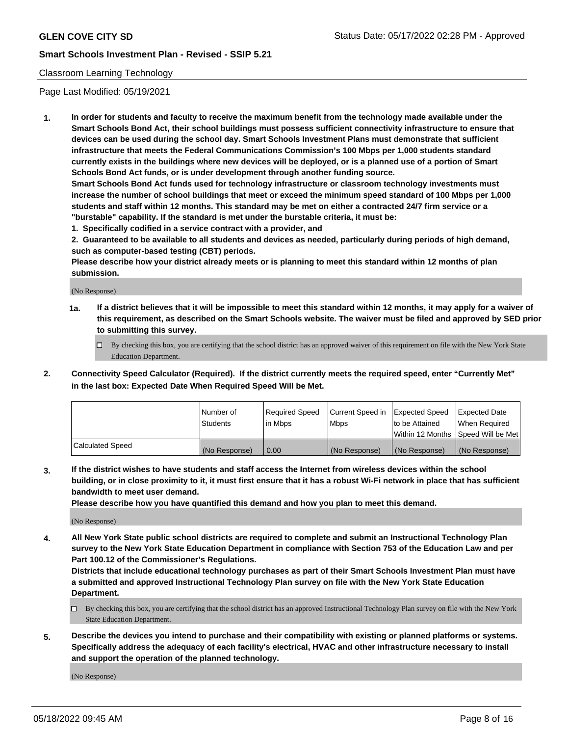### Classroom Learning Technology

Page Last Modified: 05/19/2021

**1. In order for students and faculty to receive the maximum benefit from the technology made available under the Smart Schools Bond Act, their school buildings must possess sufficient connectivity infrastructure to ensure that devices can be used during the school day. Smart Schools Investment Plans must demonstrate that sufficient infrastructure that meets the Federal Communications Commission's 100 Mbps per 1,000 students standard currently exists in the buildings where new devices will be deployed, or is a planned use of a portion of Smart Schools Bond Act funds, or is under development through another funding source.**

**Smart Schools Bond Act funds used for technology infrastructure or classroom technology investments must increase the number of school buildings that meet or exceed the minimum speed standard of 100 Mbps per 1,000 students and staff within 12 months. This standard may be met on either a contracted 24/7 firm service or a "burstable" capability. If the standard is met under the burstable criteria, it must be:**

**1. Specifically codified in a service contract with a provider, and**

**2. Guaranteed to be available to all students and devices as needed, particularly during periods of high demand, such as computer-based testing (CBT) periods.**

**Please describe how your district already meets or is planning to meet this standard within 12 months of plan submission.**

(No Response)

- **1a. If a district believes that it will be impossible to meet this standard within 12 months, it may apply for a waiver of this requirement, as described on the Smart Schools website. The waiver must be filed and approved by SED prior to submitting this survey.**
	- By checking this box, you are certifying that the school district has an approved waiver of this requirement on file with the New York State Education Department.
- **2. Connectivity Speed Calculator (Required). If the district currently meets the required speed, enter "Currently Met" in the last box: Expected Date When Required Speed Will be Met.**

|                  | Number of     | Required Speed | Current Speed in | Expected Speed | Expected Date                           |
|------------------|---------------|----------------|------------------|----------------|-----------------------------------------|
|                  | Students      | lin Mbps       | <b>Mbps</b>      | to be Attained | When Required                           |
|                  |               |                |                  |                | l Within 12 Months ISpeed Will be Met l |
| Calculated Speed | (No Response) | 0.00           | (No Response)    | (No Response)  | (No Response)                           |

**3. If the district wishes to have students and staff access the Internet from wireless devices within the school building, or in close proximity to it, it must first ensure that it has a robust Wi-Fi network in place that has sufficient bandwidth to meet user demand.**

**Please describe how you have quantified this demand and how you plan to meet this demand.**

(No Response)

**4. All New York State public school districts are required to complete and submit an Instructional Technology Plan survey to the New York State Education Department in compliance with Section 753 of the Education Law and per Part 100.12 of the Commissioner's Regulations.**

**Districts that include educational technology purchases as part of their Smart Schools Investment Plan must have a submitted and approved Instructional Technology Plan survey on file with the New York State Education Department.**

- By checking this box, you are certifying that the school district has an approved Instructional Technology Plan survey on file with the New York State Education Department.
- **5. Describe the devices you intend to purchase and their compatibility with existing or planned platforms or systems. Specifically address the adequacy of each facility's electrical, HVAC and other infrastructure necessary to install and support the operation of the planned technology.**

(No Response)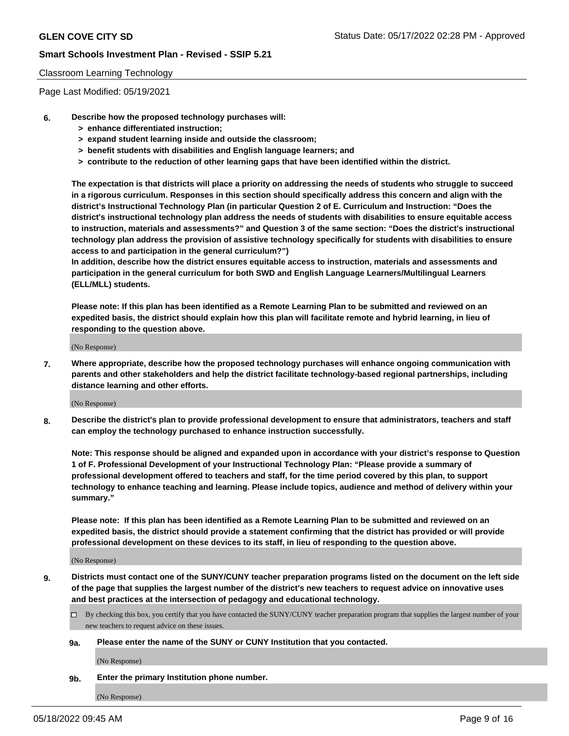### Classroom Learning Technology

Page Last Modified: 05/19/2021

#### **6. Describe how the proposed technology purchases will:**

- **> enhance differentiated instruction;**
- **> expand student learning inside and outside the classroom;**
- **> benefit students with disabilities and English language learners; and**
- **> contribute to the reduction of other learning gaps that have been identified within the district.**

**The expectation is that districts will place a priority on addressing the needs of students who struggle to succeed in a rigorous curriculum. Responses in this section should specifically address this concern and align with the district's Instructional Technology Plan (in particular Question 2 of E. Curriculum and Instruction: "Does the district's instructional technology plan address the needs of students with disabilities to ensure equitable access to instruction, materials and assessments?" and Question 3 of the same section: "Does the district's instructional technology plan address the provision of assistive technology specifically for students with disabilities to ensure access to and participation in the general curriculum?")**

**In addition, describe how the district ensures equitable access to instruction, materials and assessments and participation in the general curriculum for both SWD and English Language Learners/Multilingual Learners (ELL/MLL) students.**

**Please note: If this plan has been identified as a Remote Learning Plan to be submitted and reviewed on an expedited basis, the district should explain how this plan will facilitate remote and hybrid learning, in lieu of responding to the question above.**

(No Response)

**7. Where appropriate, describe how the proposed technology purchases will enhance ongoing communication with parents and other stakeholders and help the district facilitate technology-based regional partnerships, including distance learning and other efforts.**

(No Response)

**8. Describe the district's plan to provide professional development to ensure that administrators, teachers and staff can employ the technology purchased to enhance instruction successfully.**

**Note: This response should be aligned and expanded upon in accordance with your district's response to Question 1 of F. Professional Development of your Instructional Technology Plan: "Please provide a summary of professional development offered to teachers and staff, for the time period covered by this plan, to support technology to enhance teaching and learning. Please include topics, audience and method of delivery within your summary."**

**Please note: If this plan has been identified as a Remote Learning Plan to be submitted and reviewed on an expedited basis, the district should provide a statement confirming that the district has provided or will provide professional development on these devices to its staff, in lieu of responding to the question above.**

(No Response)

**9. Districts must contact one of the SUNY/CUNY teacher preparation programs listed on the document on the left side of the page that supplies the largest number of the district's new teachers to request advice on innovative uses and best practices at the intersection of pedagogy and educational technology.**

- By checking this box, you certify that you have contacted the SUNY/CUNY teacher preparation program that supplies the largest number of your new teachers to request advice on these issues.
- **9a. Please enter the name of the SUNY or CUNY Institution that you contacted.**

(No Response)

**9b. Enter the primary Institution phone number.**

(No Response)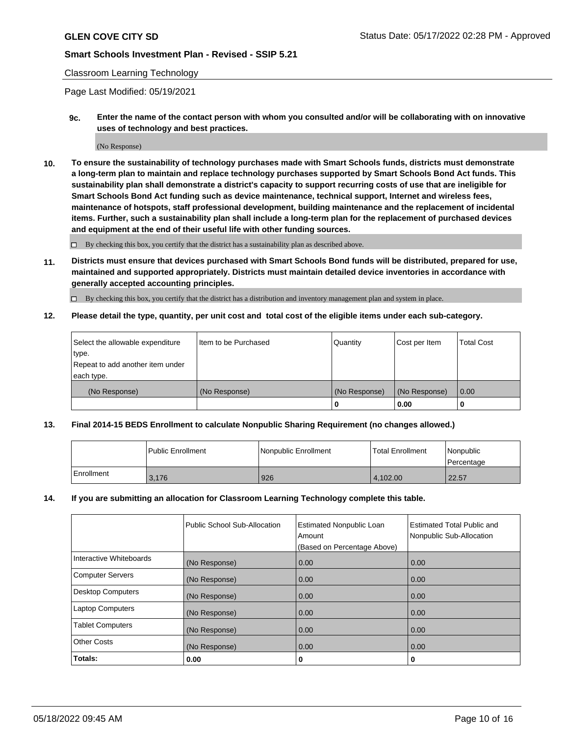### Classroom Learning Technology

Page Last Modified: 05/19/2021

**9c. Enter the name of the contact person with whom you consulted and/or will be collaborating with on innovative uses of technology and best practices.**

(No Response)

**10. To ensure the sustainability of technology purchases made with Smart Schools funds, districts must demonstrate a long-term plan to maintain and replace technology purchases supported by Smart Schools Bond Act funds. This sustainability plan shall demonstrate a district's capacity to support recurring costs of use that are ineligible for Smart Schools Bond Act funding such as device maintenance, technical support, Internet and wireless fees, maintenance of hotspots, staff professional development, building maintenance and the replacement of incidental items. Further, such a sustainability plan shall include a long-term plan for the replacement of purchased devices and equipment at the end of their useful life with other funding sources.**

 $\square$  By checking this box, you certify that the district has a sustainability plan as described above.

**11. Districts must ensure that devices purchased with Smart Schools Bond funds will be distributed, prepared for use, maintained and supported appropriately. Districts must maintain detailed device inventories in accordance with generally accepted accounting principles.**

By checking this box, you certify that the district has a distribution and inventory management plan and system in place.

**12. Please detail the type, quantity, per unit cost and total cost of the eligible items under each sub-category.**

| Select the allowable expenditure<br>type. | I Item to be Purchased | Quantity      | Cost per Item | Total Cost |
|-------------------------------------------|------------------------|---------------|---------------|------------|
| Repeat to add another item under          |                        |               |               |            |
| each type.                                |                        |               |               |            |
| (No Response)                             | (No Response)          | (No Response) | (No Response) | 0.00       |
|                                           |                        | u             | 0.00          |            |

# **13. Final 2014-15 BEDS Enrollment to calculate Nonpublic Sharing Requirement (no changes allowed.)**

|            | Public Enrollment | Nonpublic Enrollment | <b>Total Enrollment</b> | Nonpublic<br>l Percentage |
|------------|-------------------|----------------------|-------------------------|---------------------------|
| Enrollment | 3.176             | 926                  | 4.102.00                | 22.57                     |

### **14. If you are submitting an allocation for Classroom Learning Technology complete this table.**

|                          | Public School Sub-Allocation | <b>Estimated Nonpublic Loan</b><br>Amount | <b>Estimated Total Public and</b><br>Nonpublic Sub-Allocation |
|--------------------------|------------------------------|-------------------------------------------|---------------------------------------------------------------|
|                          |                              | (Based on Percentage Above)               |                                                               |
| Interactive Whiteboards  | (No Response)                | 0.00                                      | 0.00                                                          |
| <b>Computer Servers</b>  | (No Response)                | 0.00                                      | 0.00                                                          |
| <b>Desktop Computers</b> | (No Response)                | 0.00                                      | 0.00                                                          |
| <b>Laptop Computers</b>  | (No Response)                | 0.00                                      | 0.00                                                          |
| <b>Tablet Computers</b>  | (No Response)                | 0.00                                      | 0.00                                                          |
| <b>Other Costs</b>       | (No Response)                | 0.00                                      | 0.00                                                          |
| Totals:                  | 0.00                         | 0                                         | 0                                                             |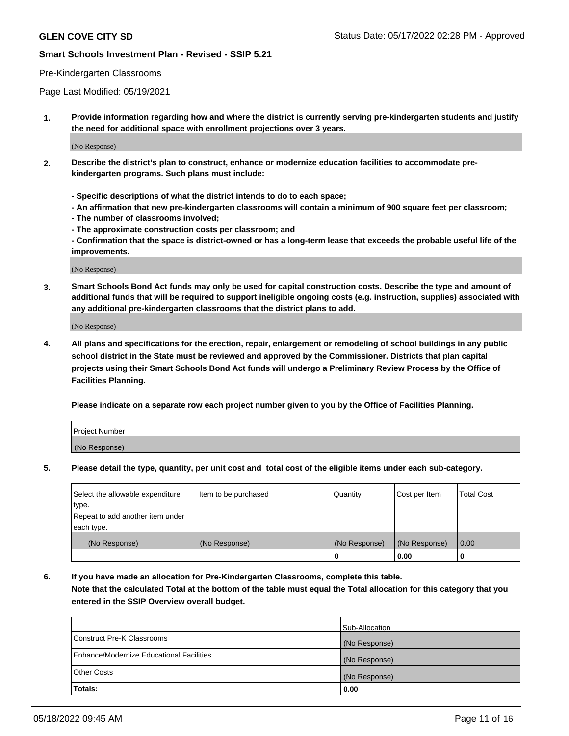#### Pre-Kindergarten Classrooms

Page Last Modified: 05/19/2021

**1. Provide information regarding how and where the district is currently serving pre-kindergarten students and justify the need for additional space with enrollment projections over 3 years.**

(No Response)

- **2. Describe the district's plan to construct, enhance or modernize education facilities to accommodate prekindergarten programs. Such plans must include:**
	- **Specific descriptions of what the district intends to do to each space;**
	- **An affirmation that new pre-kindergarten classrooms will contain a minimum of 900 square feet per classroom;**
	- **The number of classrooms involved;**
	- **The approximate construction costs per classroom; and**
	- **Confirmation that the space is district-owned or has a long-term lease that exceeds the probable useful life of the improvements.**

(No Response)

**3. Smart Schools Bond Act funds may only be used for capital construction costs. Describe the type and amount of additional funds that will be required to support ineligible ongoing costs (e.g. instruction, supplies) associated with any additional pre-kindergarten classrooms that the district plans to add.**

(No Response)

**4. All plans and specifications for the erection, repair, enlargement or remodeling of school buildings in any public school district in the State must be reviewed and approved by the Commissioner. Districts that plan capital projects using their Smart Schools Bond Act funds will undergo a Preliminary Review Process by the Office of Facilities Planning.**

**Please indicate on a separate row each project number given to you by the Office of Facilities Planning.**

| Project Number |  |
|----------------|--|
| (No Response)  |  |

**5. Please detail the type, quantity, per unit cost and total cost of the eligible items under each sub-category.**

| Select the allowable expenditure | Item to be purchased | Quantity      | Cost per Item | <b>Total Cost</b> |
|----------------------------------|----------------------|---------------|---------------|-------------------|
| type.                            |                      |               |               |                   |
| Repeat to add another item under |                      |               |               |                   |
| each type.                       |                      |               |               |                   |
| (No Response)                    | (No Response)        | (No Response) | (No Response) | 0.00              |
|                                  |                      | 0             | 0.00          |                   |

**6. If you have made an allocation for Pre-Kindergarten Classrooms, complete this table.**

**Note that the calculated Total at the bottom of the table must equal the Total allocation for this category that you entered in the SSIP Overview overall budget.**

|                                          | Sub-Allocation |
|------------------------------------------|----------------|
| Construct Pre-K Classrooms               | (No Response)  |
| Enhance/Modernize Educational Facilities | (No Response)  |
| <b>Other Costs</b>                       | (No Response)  |
| Totals:                                  | 0.00           |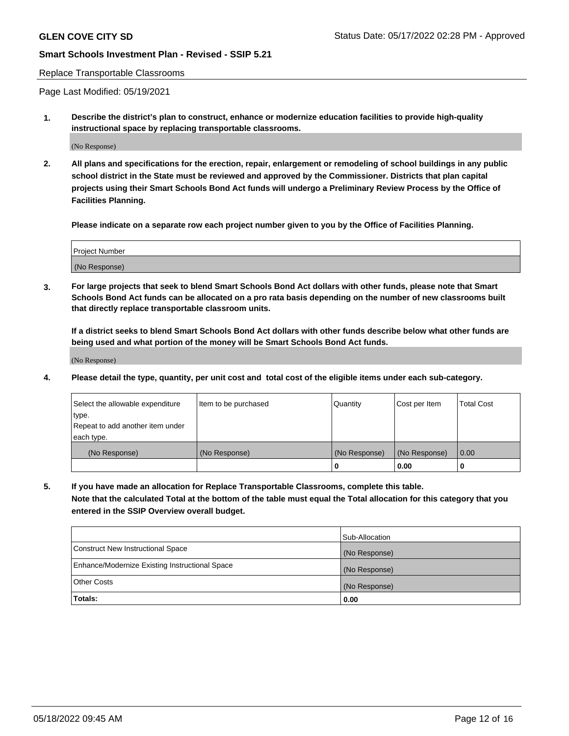#### Replace Transportable Classrooms

Page Last Modified: 05/19/2021

**1. Describe the district's plan to construct, enhance or modernize education facilities to provide high-quality instructional space by replacing transportable classrooms.**

(No Response)

**2. All plans and specifications for the erection, repair, enlargement or remodeling of school buildings in any public school district in the State must be reviewed and approved by the Commissioner. Districts that plan capital projects using their Smart Schools Bond Act funds will undergo a Preliminary Review Process by the Office of Facilities Planning.**

**Please indicate on a separate row each project number given to you by the Office of Facilities Planning.**

| <b>Project Number</b> |  |
|-----------------------|--|
| (No Response)         |  |

**3. For large projects that seek to blend Smart Schools Bond Act dollars with other funds, please note that Smart Schools Bond Act funds can be allocated on a pro rata basis depending on the number of new classrooms built that directly replace transportable classroom units.**

**If a district seeks to blend Smart Schools Bond Act dollars with other funds describe below what other funds are being used and what portion of the money will be Smart Schools Bond Act funds.**

(No Response)

**4. Please detail the type, quantity, per unit cost and total cost of the eligible items under each sub-category.**

| Select the allowable expenditure | Item to be purchased | Quantity      | Cost per Item | <b>Total Cost</b> |
|----------------------------------|----------------------|---------------|---------------|-------------------|
| type.                            |                      |               |               |                   |
| Repeat to add another item under |                      |               |               |                   |
| each type.                       |                      |               |               |                   |
| (No Response)                    | (No Response)        | (No Response) | (No Response) | 0.00              |
|                                  |                      | U             | 0.00          |                   |

**5. If you have made an allocation for Replace Transportable Classrooms, complete this table.**

**Note that the calculated Total at the bottom of the table must equal the Total allocation for this category that you entered in the SSIP Overview overall budget.**

|                                                | Sub-Allocation |
|------------------------------------------------|----------------|
| Construct New Instructional Space              | (No Response)  |
| Enhance/Modernize Existing Instructional Space | (No Response)  |
| <b>Other Costs</b>                             | (No Response)  |
| Totals:                                        | 0.00           |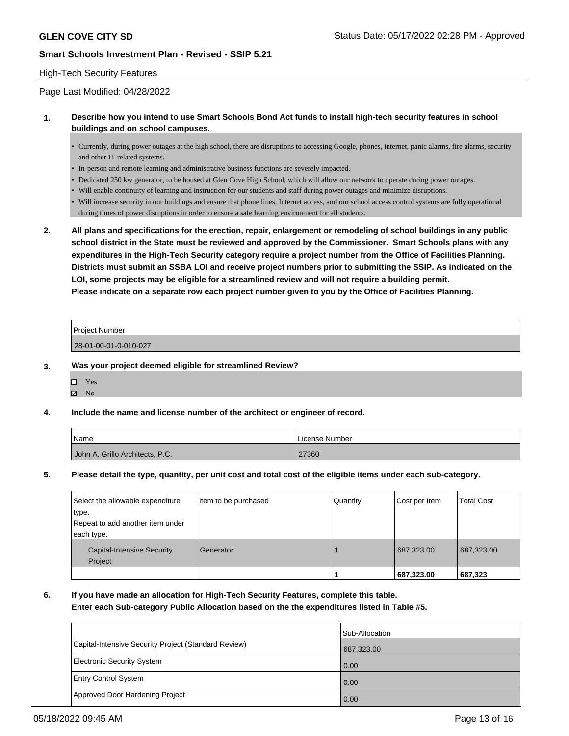### High-Tech Security Features

Page Last Modified: 04/28/2022

### **1. Describe how you intend to use Smart Schools Bond Act funds to install high-tech security features in school buildings and on school campuses.**

- Currently, during power outages at the high school, there are disruptions to accessing Google, phones, internet, panic alarms, fire alarms, security and other IT related systems.
- In-person and remote learning and administrative business functions are severely impacted.
- Dedicated 250 kw generator, to be housed at Glen Cove High School, which will allow our network to operate during power outages.
- Will enable continuity of learning and instruction for our students and staff during power outages and minimize disruptions.
- Will increase security in our buildings and ensure that phone lines, Internet access, and our school access control systems are fully operational during times of power disruptions in order to ensure a safe learning environment for all students.
- **2. All plans and specifications for the erection, repair, enlargement or remodeling of school buildings in any public school district in the State must be reviewed and approved by the Commissioner. Smart Schools plans with any expenditures in the High-Tech Security category require a project number from the Office of Facilities Planning. Districts must submit an SSBA LOI and receive project numbers prior to submitting the SSIP. As indicated on the LOI, some projects may be eligible for a streamlined review and will not require a building permit. Please indicate on a separate row each project number given to you by the Office of Facilities Planning.**

| <b>Project Number</b> |  |
|-----------------------|--|
| 28-01-00-01-0-010-027 |  |

- **3. Was your project deemed eligible for streamlined Review?**
	- Yes
	- $\blacksquare$  No

#### **4. Include the name and license number of the architect or engineer of record.**

| Name                            | l License Number |
|---------------------------------|------------------|
| John A. Grillo Architects, P.C. | 27360            |

#### **5. Please detail the type, quantity, per unit cost and total cost of the eligible items under each sub-category.**

| Select the allowable expenditure             | Item to be purchased | Quantity | Cost per Item | <b>Total Cost</b> |
|----------------------------------------------|----------------------|----------|---------------|-------------------|
| type.<br>Repeat to add another item under    |                      |          |               |                   |
| each type.                                   |                      |          |               |                   |
| <b>Capital-Intensive Security</b><br>Project | Generator            |          | 687,323.00    | 687,323.00        |
|                                              |                      |          | 687,323.00    | 687,323           |

### **6. If you have made an allocation for High-Tech Security Features, complete this table. Enter each Sub-category Public Allocation based on the the expenditures listed in Table #5.**

|                                                      | Sub-Allocation |
|------------------------------------------------------|----------------|
| Capital-Intensive Security Project (Standard Review) | 687,323.00     |
| Electronic Security System                           | 0.00           |
| <b>Entry Control System</b>                          | 0.00           |
| Approved Door Hardening Project                      | 0.00           |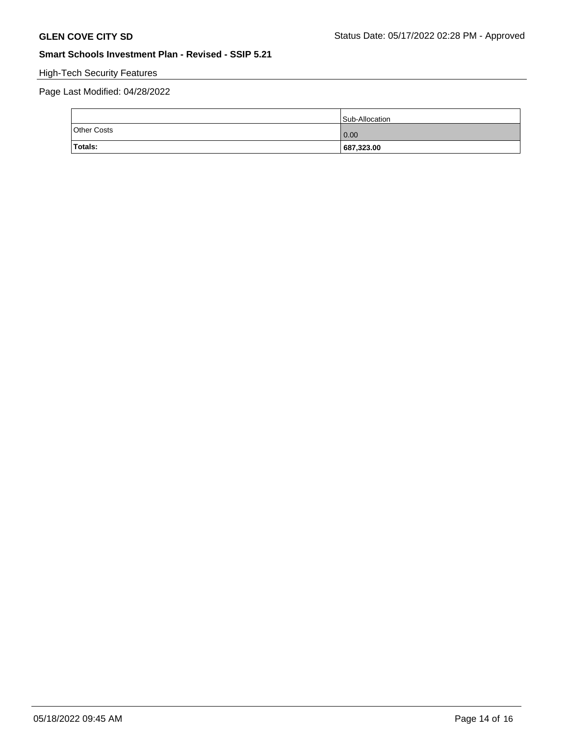# High-Tech Security Features

# Page Last Modified: 04/28/2022

|                    | Sub-Allocation |
|--------------------|----------------|
| <b>Other Costs</b> | 0.00           |
| Totals:            | 687,323.00     |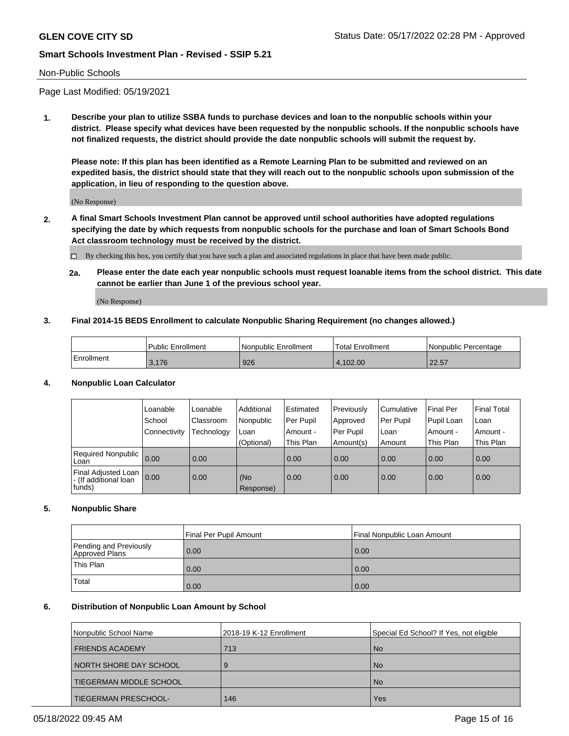#### Non-Public Schools

Page Last Modified: 05/19/2021

**1. Describe your plan to utilize SSBA funds to purchase devices and loan to the nonpublic schools within your district. Please specify what devices have been requested by the nonpublic schools. If the nonpublic schools have not finalized requests, the district should provide the date nonpublic schools will submit the request by.**

**Please note: If this plan has been identified as a Remote Learning Plan to be submitted and reviewed on an expedited basis, the district should state that they will reach out to the nonpublic schools upon submission of the application, in lieu of responding to the question above.**

(No Response)

- **2. A final Smart Schools Investment Plan cannot be approved until school authorities have adopted regulations specifying the date by which requests from nonpublic schools for the purchase and loan of Smart Schools Bond Act classroom technology must be received by the district.**
	- By checking this box, you certify that you have such a plan and associated regulations in place that have been made public.
	- **2a. Please enter the date each year nonpublic schools must request loanable items from the school district. This date cannot be earlier than June 1 of the previous school year.**

(No Response)

### **3. Final 2014-15 BEDS Enrollment to calculate Nonpublic Sharing Requirement (no changes allowed.)**

|            | Public Enrollment | l Nonpublic Enrollment | Total Enrollment | l Nonpublic Percentage |
|------------|-------------------|------------------------|------------------|------------------------|
| Enrollment | 3.176             | 926                    | 4.102.00         | . 22.57                |

### **4. Nonpublic Loan Calculator**

|                                                        | Loanable     | Loanable         | Additional       | Estimated | Previously  | l Cumulative | <b>Final Per</b> | Final Total |
|--------------------------------------------------------|--------------|------------------|------------------|-----------|-------------|--------------|------------------|-------------|
|                                                        | School       | <b>Classroom</b> | Nonpublic        | Per Pupil | Approved    | Per Pupil    | Pupil Loan       | Loan        |
|                                                        | Connectivity | Technology       | Loan             | Amount -  | l Per Pupil | l Loan       | Amount -         | Amount -    |
|                                                        |              |                  | (Optional)       | This Plan | Amount(s)   | Amount       | This Plan        | This Plan   |
| <b>Required Nonpublic</b><br>Loan                      | 0.00         | 0.00             |                  | 0.00      | 0.00        | 0.00         | 0.00             | 0.00        |
| Final Adjusted Loan<br>- (If additional loan<br>funds) | 0.00         | 0.00             | (No<br>Response) | 0.00      | 0.00        | 0.00         | 0.00             | 0.00        |

### **5. Nonpublic Share**

|                                          | Final Per Pupil Amount<br>Final Nonpublic Loan Amount |      |  |
|------------------------------------------|-------------------------------------------------------|------|--|
| Pending and Previously<br>Approved Plans | 0.00                                                  | 0.00 |  |
| This Plan                                | 0.00                                                  | 0.00 |  |
| Total                                    | 0.00                                                  | 0.00 |  |

#### **6. Distribution of Nonpublic Loan Amount by School**

| Nonpublic School Name    | 2018-19 K-12 Enrollment | Special Ed School? If Yes, not eligible |
|--------------------------|-------------------------|-----------------------------------------|
| <b>FRIENDS ACADEMY</b>   | 713                     | <b>No</b>                               |
| I NORTH SHORE DAY SCHOOL | 9                       | <b>No</b>                               |
| TIEGERMAN MIDDLE SCHOOL  |                         | <b>No</b>                               |
| TIEGERMAN PRESCHOOL-     | 146                     | Yes                                     |